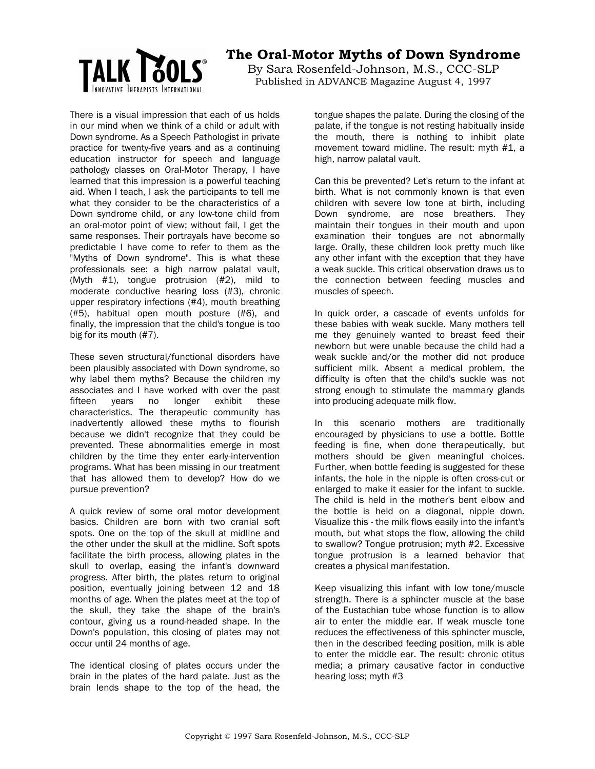

## **The Oral-Motor Myths of Down Syndrome**

By Sara Rosenfeld-Johnson, M.S., CCC-SLP Published in ADVANCE Magazine August 4, 1997

There is a visual impression that each of us holds in our mind when we think of a child or adult with Down syndrome. As a Speech Pathologist in private practice for twenty-five years and as a continuing education instructor for speech and language pathology classes on Oral-Motor Therapy, I have learned that this impression is a powerful teaching aid. When I teach, I ask the participants to tell me what they consider to be the characteristics of a Down syndrome child, or any low-tone child from an oral-motor point of view; without fail, I get the same responses. Their portrayals have become so predictable I have come to refer to them as the "Myths of Down syndrome". This is what these professionals see: a high narrow palatal vault, (Myth #1), tongue protrusion (#2), mild to moderate conductive hearing loss (#3), chronic upper respiratory infections (#4), mouth breathing (#5), habitual open mouth posture (#6), and finally, the impression that the child's tongue is too big for its mouth (#7).

These seven structural/functional disorders have been plausibly associated with Down syndrome, so why label them myths? Because the children my associates and I have worked with over the past fifteen years no longer exhibit these characteristics. The therapeutic community has inadvertently allowed these myths to flourish because we didn't recognize that they could be prevented. These abnormalities emerge in most children by the time they enter early-intervention programs. What has been missing in our treatment that has allowed them to develop? How do we pursue prevention?

A quick review of some oral motor development basics. Children are born with two cranial soft spots. One on the top of the skull at midline and the other under the skull at the midline. Soft spots facilitate the birth process, allowing plates in the skull to overlap, easing the infant's downward progress. After birth, the plates return to original position, eventually joining between 12 and 18 months of age. When the plates meet at the top of the skull, they take the shape of the brain's contour, giving us a round-headed shape. In the Down's population, this closing of plates may not occur until 24 months of age.

The identical closing of plates occurs under the brain in the plates of the hard palate. Just as the brain lends shape to the top of the head, the

tongue shapes the palate. During the closing of the palate, if the tongue is not resting habitually inside the mouth, there is nothing to inhibit plate movement toward midline. The result: myth #1, a high, narrow palatal vault.

Can this be prevented? Let's return to the infant at birth. What is not commonly known is that even children with severe low tone at birth, including Down syndrome, are nose breathers. They maintain their tongues in their mouth and upon examination their tongues are not abnormally large. Orally, these children look pretty much like any other infant with the exception that they have a weak suckle. This critical observation draws us to the connection between feeding muscles and muscles of speech.

In quick order, a cascade of events unfolds for these babies with weak suckle. Many mothers tell me they genuinely wanted to breast feed their newborn but were unable because the child had a weak suckle and/or the mother did not produce sufficient milk. Absent a medical problem, the difficulty is often that the child's suckle was not strong enough to stimulate the mammary glands into producing adequate milk flow.

In this scenario mothers are traditionally encouraged by physicians to use a bottle. Bottle feeding is fine, when done therapeutically, but mothers should be given meaningful choices. Further, when bottle feeding is suggested for these infants, the hole in the nipple is often cross-cut or enlarged to make it easier for the infant to suckle. The child is held in the mother's bent elbow and the bottle is held on a diagonal, nipple down. Visualize this - the milk flows easily into the infant's mouth, but what stops the flow, allowing the child to swallow? Tongue protrusion; myth #2. Excessive tongue protrusion is a learned behavior that creates a physical manifestation.

Keep visualizing this infant with low tone/muscle strength. There is a sphincter muscle at the base of the Eustachian tube whose function is to allow air to enter the middle ear. If weak muscle tone reduces the effectiveness of this sphincter muscle, then in the described feeding position, milk is able to enter the middle ear. The result: chronic otitus media; a primary causative factor in conductive hearing loss; myth #3